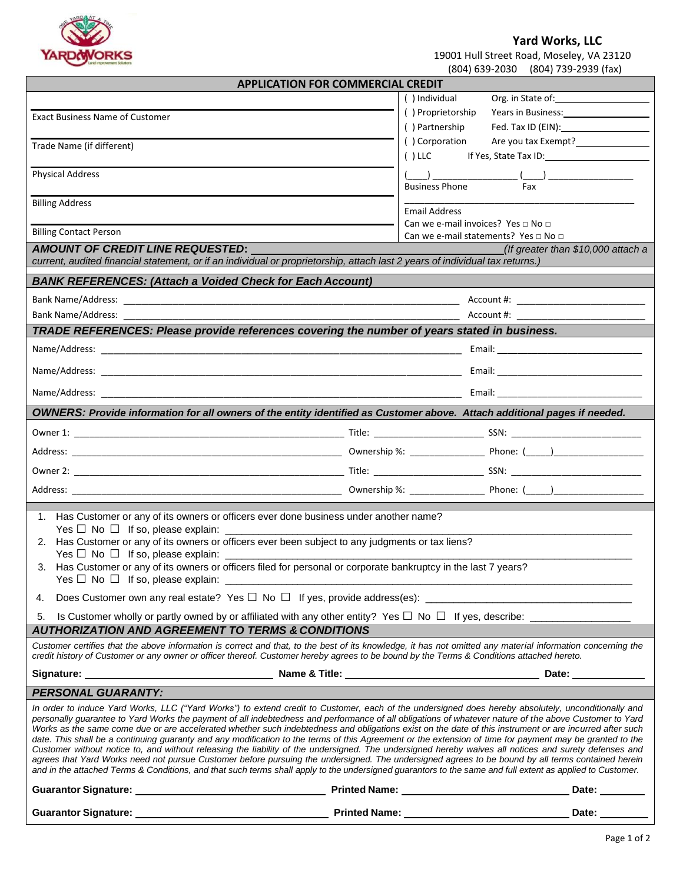

## **Yard Works, LLC**

| ARDOVORKS | 19001 Hull Street Road, Moseley, VA 23120 |
|-----------|-------------------------------------------|
|           | (804) 639-2030 (804) 739-2939 (fax)       |

|                                                                                                                                                                                                                                                                                                                                                                                                                                                                                                                                                                                                                                                                                                                                                                                                                                                                                                                                                                                                                                                                                                                 |                                                                                                                               | (804) 639-2030<br>(804) 739-2939 (fax)       |  |
|-----------------------------------------------------------------------------------------------------------------------------------------------------------------------------------------------------------------------------------------------------------------------------------------------------------------------------------------------------------------------------------------------------------------------------------------------------------------------------------------------------------------------------------------------------------------------------------------------------------------------------------------------------------------------------------------------------------------------------------------------------------------------------------------------------------------------------------------------------------------------------------------------------------------------------------------------------------------------------------------------------------------------------------------------------------------------------------------------------------------|-------------------------------------------------------------------------------------------------------------------------------|----------------------------------------------|--|
|                                                                                                                                                                                                                                                                                                                                                                                                                                                                                                                                                                                                                                                                                                                                                                                                                                                                                                                                                                                                                                                                                                                 | <b>APPLICATION FOR COMMERCIAL CREDIT</b>                                                                                      |                                              |  |
|                                                                                                                                                                                                                                                                                                                                                                                                                                                                                                                                                                                                                                                                                                                                                                                                                                                                                                                                                                                                                                                                                                                 | () Individual                                                                                                                 | Org. in State of:                            |  |
| <b>Exact Business Name of Customer</b>                                                                                                                                                                                                                                                                                                                                                                                                                                                                                                                                                                                                                                                                                                                                                                                                                                                                                                                                                                                                                                                                          | () Proprietorship                                                                                                             | Years in Business:                           |  |
|                                                                                                                                                                                                                                                                                                                                                                                                                                                                                                                                                                                                                                                                                                                                                                                                                                                                                                                                                                                                                                                                                                                 | () Partnership                                                                                                                | Fed. Tax ID (EIN):                           |  |
| Trade Name (if different)                                                                                                                                                                                                                                                                                                                                                                                                                                                                                                                                                                                                                                                                                                                                                                                                                                                                                                                                                                                                                                                                                       | () Corporation                                                                                                                | Are you tax Exempt?<br><u>Lettermanance</u>  |  |
|                                                                                                                                                                                                                                                                                                                                                                                                                                                                                                                                                                                                                                                                                                                                                                                                                                                                                                                                                                                                                                                                                                                 | $()$ LLC                                                                                                                      |                                              |  |
| <b>Physical Address</b>                                                                                                                                                                                                                                                                                                                                                                                                                                                                                                                                                                                                                                                                                                                                                                                                                                                                                                                                                                                                                                                                                         |                                                                                                                               |                                              |  |
|                                                                                                                                                                                                                                                                                                                                                                                                                                                                                                                                                                                                                                                                                                                                                                                                                                                                                                                                                                                                                                                                                                                 | <b>Business Phone</b>                                                                                                         | Fax                                          |  |
| <b>Billing Address</b>                                                                                                                                                                                                                                                                                                                                                                                                                                                                                                                                                                                                                                                                                                                                                                                                                                                                                                                                                                                                                                                                                          | <b>Email Address</b>                                                                                                          |                                              |  |
|                                                                                                                                                                                                                                                                                                                                                                                                                                                                                                                                                                                                                                                                                                                                                                                                                                                                                                                                                                                                                                                                                                                 |                                                                                                                               | Can we e-mail invoices? Yes $\Box$ No $\Box$ |  |
| <b>Billing Contact Person</b>                                                                                                                                                                                                                                                                                                                                                                                                                                                                                                                                                                                                                                                                                                                                                                                                                                                                                                                                                                                                                                                                                   |                                                                                                                               | Can we e-mail statements? Yes □ No □         |  |
| AMOUNT OF CREDIT LINE REQUESTED:                                                                                                                                                                                                                                                                                                                                                                                                                                                                                                                                                                                                                                                                                                                                                                                                                                                                                                                                                                                                                                                                                |                                                                                                                               | (If greater than \$10,000 attach a           |  |
| current, audited financial statement, or if an individual or proprietorship, attach last 2 years of individual tax returns.)                                                                                                                                                                                                                                                                                                                                                                                                                                                                                                                                                                                                                                                                                                                                                                                                                                                                                                                                                                                    |                                                                                                                               |                                              |  |
| <b>BANK REFERENCES: (Attach a Voided Check for Each Account)</b>                                                                                                                                                                                                                                                                                                                                                                                                                                                                                                                                                                                                                                                                                                                                                                                                                                                                                                                                                                                                                                                |                                                                                                                               |                                              |  |
|                                                                                                                                                                                                                                                                                                                                                                                                                                                                                                                                                                                                                                                                                                                                                                                                                                                                                                                                                                                                                                                                                                                 |                                                                                                                               |                                              |  |
| Bank Name/Address:<br>Account #:                                                                                                                                                                                                                                                                                                                                                                                                                                                                                                                                                                                                                                                                                                                                                                                                                                                                                                                                                                                                                                                                                |                                                                                                                               |                                              |  |
| TRADE REFERENCES: Please provide references covering the number of years stated in business.                                                                                                                                                                                                                                                                                                                                                                                                                                                                                                                                                                                                                                                                                                                                                                                                                                                                                                                                                                                                                    |                                                                                                                               |                                              |  |
|                                                                                                                                                                                                                                                                                                                                                                                                                                                                                                                                                                                                                                                                                                                                                                                                                                                                                                                                                                                                                                                                                                                 |                                                                                                                               |                                              |  |
|                                                                                                                                                                                                                                                                                                                                                                                                                                                                                                                                                                                                                                                                                                                                                                                                                                                                                                                                                                                                                                                                                                                 |                                                                                                                               |                                              |  |
| Name/Address:<br><u> 1989 - Johann Stoff, amerikansk politiker (d. 1989)</u>                                                                                                                                                                                                                                                                                                                                                                                                                                                                                                                                                                                                                                                                                                                                                                                                                                                                                                                                                                                                                                    |                                                                                                                               |                                              |  |
|                                                                                                                                                                                                                                                                                                                                                                                                                                                                                                                                                                                                                                                                                                                                                                                                                                                                                                                                                                                                                                                                                                                 |                                                                                                                               |                                              |  |
| OWNERS: Provide information for all owners of the entity identified as Customer above. Attach additional pages if needed.                                                                                                                                                                                                                                                                                                                                                                                                                                                                                                                                                                                                                                                                                                                                                                                                                                                                                                                                                                                       |                                                                                                                               |                                              |  |
|                                                                                                                                                                                                                                                                                                                                                                                                                                                                                                                                                                                                                                                                                                                                                                                                                                                                                                                                                                                                                                                                                                                 |                                                                                                                               |                                              |  |
|                                                                                                                                                                                                                                                                                                                                                                                                                                                                                                                                                                                                                                                                                                                                                                                                                                                                                                                                                                                                                                                                                                                 |                                                                                                                               |                                              |  |
|                                                                                                                                                                                                                                                                                                                                                                                                                                                                                                                                                                                                                                                                                                                                                                                                                                                                                                                                                                                                                                                                                                                 |                                                                                                                               |                                              |  |
|                                                                                                                                                                                                                                                                                                                                                                                                                                                                                                                                                                                                                                                                                                                                                                                                                                                                                                                                                                                                                                                                                                                 |                                                                                                                               |                                              |  |
|                                                                                                                                                                                                                                                                                                                                                                                                                                                                                                                                                                                                                                                                                                                                                                                                                                                                                                                                                                                                                                                                                                                 |                                                                                                                               |                                              |  |
|                                                                                                                                                                                                                                                                                                                                                                                                                                                                                                                                                                                                                                                                                                                                                                                                                                                                                                                                                                                                                                                                                                                 |                                                                                                                               |                                              |  |
| 1. Has Customer or any of its owners or officers ever done business under another name?                                                                                                                                                                                                                                                                                                                                                                                                                                                                                                                                                                                                                                                                                                                                                                                                                                                                                                                                                                                                                         |                                                                                                                               |                                              |  |
|                                                                                                                                                                                                                                                                                                                                                                                                                                                                                                                                                                                                                                                                                                                                                                                                                                                                                                                                                                                                                                                                                                                 |                                                                                                                               |                                              |  |
| 2. Has Customer or any of its owners or officers ever been subject to any judgments or tax liens?<br>Yes $\Box$ No $\Box$ If so, please explain: $\Box$                                                                                                                                                                                                                                                                                                                                                                                                                                                                                                                                                                                                                                                                                                                                                                                                                                                                                                                                                         |                                                                                                                               |                                              |  |
| 3. Has Customer or any of its owners or officers filed for personal or corporate bankruptcy in the last 7 years?                                                                                                                                                                                                                                                                                                                                                                                                                                                                                                                                                                                                                                                                                                                                                                                                                                                                                                                                                                                                |                                                                                                                               |                                              |  |
| Yes $\Box$ No $\Box$ If so, please explain:                                                                                                                                                                                                                                                                                                                                                                                                                                                                                                                                                                                                                                                                                                                                                                                                                                                                                                                                                                                                                                                                     | <u> 1989 - Johann John Stone, mars et al. 1989 - John Stone, mars et al. 1989 - John Stone, mars et al. 1989 - John Stone</u> |                                              |  |
| 4.                                                                                                                                                                                                                                                                                                                                                                                                                                                                                                                                                                                                                                                                                                                                                                                                                                                                                                                                                                                                                                                                                                              |                                                                                                                               |                                              |  |
| 5.                                                                                                                                                                                                                                                                                                                                                                                                                                                                                                                                                                                                                                                                                                                                                                                                                                                                                                                                                                                                                                                                                                              |                                                                                                                               |                                              |  |
| <b>AUTHORIZATION AND AGREEMENT TO TERMS &amp; CONDITIONS</b>                                                                                                                                                                                                                                                                                                                                                                                                                                                                                                                                                                                                                                                                                                                                                                                                                                                                                                                                                                                                                                                    |                                                                                                                               |                                              |  |
| Customer certifies that the above information is correct and that, to the best of its knowledge, it has not omitted any material information concerning the<br>credit history of Customer or any owner or officer thereof. Customer hereby agrees to be bound by the Terms & Conditions attached hereto.                                                                                                                                                                                                                                                                                                                                                                                                                                                                                                                                                                                                                                                                                                                                                                                                        |                                                                                                                               |                                              |  |
|                                                                                                                                                                                                                                                                                                                                                                                                                                                                                                                                                                                                                                                                                                                                                                                                                                                                                                                                                                                                                                                                                                                 |                                                                                                                               | Date: _____________                          |  |
| <b>PERSONAL GUARANTY:</b>                                                                                                                                                                                                                                                                                                                                                                                                                                                                                                                                                                                                                                                                                                                                                                                                                                                                                                                                                                                                                                                                                       |                                                                                                                               |                                              |  |
| In order to induce Yard Works, LLC ("Yard Works") to extend credit to Customer, each of the undersigned does hereby absolutely, unconditionally and<br>personally guarantee to Yard Works the payment of all indebtedness and performance of all obligations of whatever nature of the above Customer to Yard<br>Works as the same come due or are accelerated whether such indebtedness and obligations exist on the date of this instrument or are incurred after such<br>date. This shall be a continuing guaranty and any modification to the terms of this Agreement or the extension of time for payment may be granted to the<br>Customer without notice to, and without releasing the liability of the undersigned. The undersigned hereby waives all notices and surety defenses and<br>agrees that Yard Works need not pursue Customer before pursuing the undersigned. The undersigned agrees to be bound by all terms contained herein<br>and in the attached Terms & Conditions, and that such terms shall apply to the undersigned guarantors to the same and full extent as applied to Customer. |                                                                                                                               |                                              |  |
|                                                                                                                                                                                                                                                                                                                                                                                                                                                                                                                                                                                                                                                                                                                                                                                                                                                                                                                                                                                                                                                                                                                 |                                                                                                                               | Date: ________                               |  |
| Guarantor Signature: University of Printed Name: University of Printed Name:                                                                                                                                                                                                                                                                                                                                                                                                                                                                                                                                                                                                                                                                                                                                                                                                                                                                                                                                                                                                                                    |                                                                                                                               | Date: ______                                 |  |